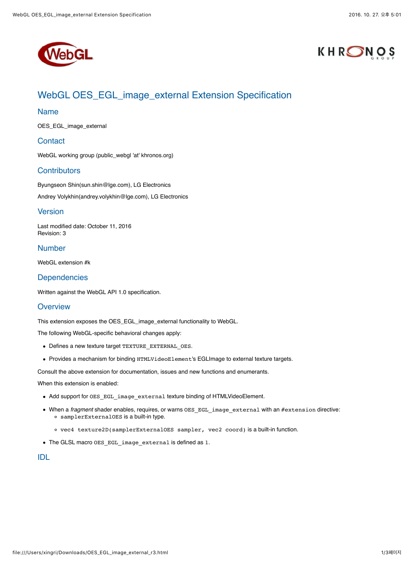



# WebGL OES\_EGL\_image\_external Extension Specification

#### Name

OES\_EGL\_image\_external

### **Contact**

[WebGL working group](https://www.khronos.org/webgl/public-mailing-list/) (public\_webgl 'at' khronos.org)

#### **Contributors**

Byungseon Shin(sun.shin@lge.com), LG Electronics Andrey Volykhin(andrey.volykhin@lge.com), LG Electronics

## Version

Last modified date: October 11, 2016 Revision: 3

# Number

WebGL extension #k

## **Dependencies**

Written against the [WebGL API 1.0](http://www.khronos.org/registry/webgl/specs/1.0/) specification.

#### **Overview**

This extension exposes the [OES\\_EGL\\_image\\_external](https://www.khronos.org/registry/gles/extensions/OES/OES_EGL_image_external.txt) functionality to WebGL.

The following WebGL-specific behavioral changes apply:

- Defines a new texture target TEXTURE\_EXTERNAL\_OES.
- Provides a mechanism for binding HTMLVideoElement's EGLImage to external texture targets.

Consult the above extension for documentation, issues and new functions and enumerants.

When this extension is enabled:

- Add support for OES\_EGL\_image\_external texture binding of HTMLVideoElement.
- When a *fragment* shader enables, requires, or warns OES\_EGL\_image\_external with an #extension directive: samplerExternalOES is a built-in type.
	- vec4 texture2D(samplerExternalOES sampler, vec2 coord) is a built-in function.
- The GLSL macro OES\_EGL\_image\_external is defined as 1.

# IDL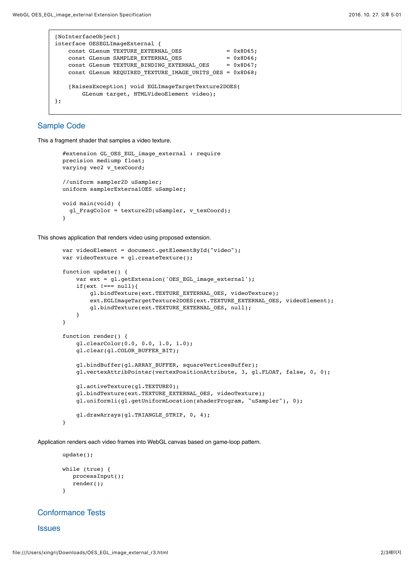```
[NoInterfaceObject]
interface OESEGLImageExternal {
    const GLenum TEXTURE EXTERNAL OES = 0x8D65;
    const GLenum SAMPLER_EXTERNAL_OES = 0x8D66;<br>const GLenum TEXTURE BINDING_EXTERNAL_OES = 0x8D67;
    const GLenum TEXTURE_BINDING_EXTERNAL_OES
    const GLenum REQUIRED TEXTURE IMAGE UNITS OES = 0x8D68;
     [RaisesException] void EGLImageTargetTexture2DOES(
         GLenum target, HTMLVideoElement video);
};
```
## Sample Code

This a fragment shader that samples a video texture.

```
#extension GL OES EGL image external : require
 precision mediump float;
varying vec2 v texCoord;
 //uniform sampler2D uSampler;
 uniform samplerExternalOES uSampler;
 void main(void) {
  gl FragColor = texture2D(uSampler, v texCoord);
 }
```
This shows application that renders video using proposed extension.

```
 var videoElement = document.getElementById("video");
 var videoTexture = gl.createTexture();
 function update() {
    var ext = gl.getExtension('OES EGL image external');
    if(ext !==- \text{null}){
         gl.bindTexture(ext.TEXTURE_EXTERNAL_OES, videoTexture);
        ext.EGLImageTargetTexture2DOES(ext.TEXTURE EXTERNAL OES, videoElement);
        gl.bindTexture(ext.TEXTURE_EXTERNAL_OES, null);
     }
 }
 function render() {
     gl.clearColor(0.0, 0.0, 1.0, 1.0);
     gl.clear(gl.COLOR_BUFFER_BIT);
     gl.bindBuffer(gl.ARRAY_BUFFER, squareVerticesBuffer);
     gl.vertexAttribPointer(vertexPositionAttribute, 3, gl.FLOAT, false, 0, 0);
     gl.activeTexture(gl.TEXTURE0);
    gl.bindTexture(ext.TEXTURE_EXTERNAL_OES, videoTexture);
     gl.uniform1i(gl.getUniformLocation(shaderProgram, "uSampler"), 0);
     gl.drawArrays(gl.TRIANGLE_STRIP, 0, 4);
 }
```
Application renders each video frames into WebGL canvas based on game-loop pattern.

```
 update();
 while (true) {
    processInput();
    render();
 }
```
#### Conformance Tests

**Issues**